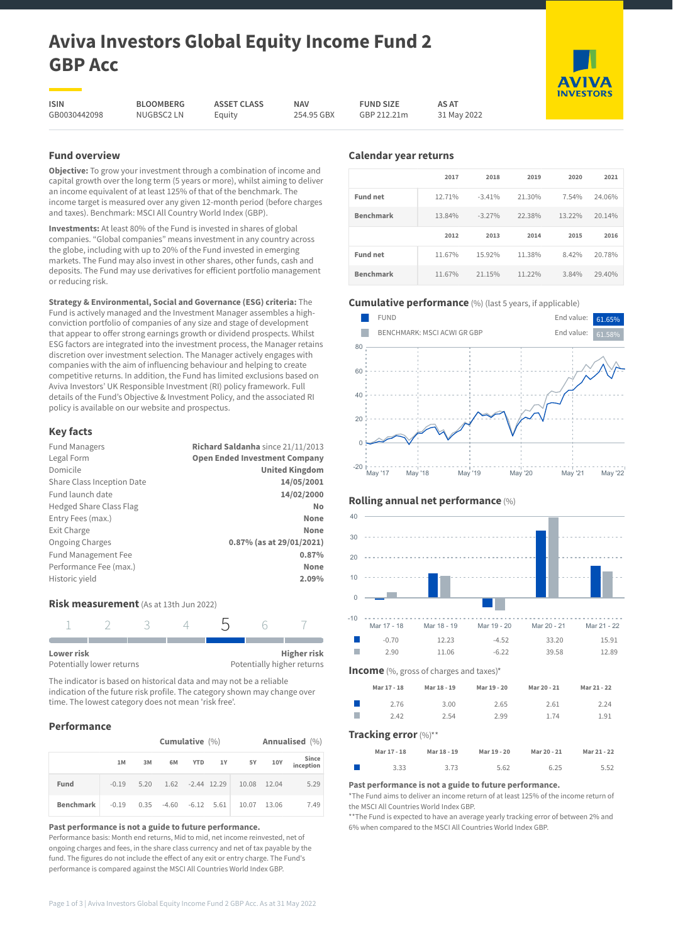# **Aviva Investors Global Equity Income Fund 2 GBP Acc**

**ASSET CLASS** Equity

**ISIN** GB0030442098 **BLOOMBERG** NUGBSC2 LN

**NAV** 254.95 GBX **FUND SIZE** GBP 212.21m **AS AT** 31 May 2022

## **Fund overview**

**Objective:** To grow your investment through a combination of income and capital growth over the long term (5 years or more), whilst aiming to deliver an income equivalent of at least 125% of that of the benchmark. The income target is measured over any given 12-month period (before charges and taxes). Benchmark: MSCI All Country World Index (GBP).

**Investments:** At least 80% of the Fund is invested in shares of global companies. "Global companies" means investment in any country across the globe, including with up to 20% of the Fund invested in emerging markets. The Fund may also invest in other shares, other funds, cash and deposits. The Fund may use derivatives for efficient portfolio management or reducing risk.

**Strategy & Environmental, Social and Governance (ESG) criteria:** The Fund is actively managed and the Investment Manager assembles a highconviction portfolio of companies of any size and stage of development that appear to offer strong earnings growth or dividend prospects. Whilst ESG factors are integrated into the investment process, the Manager retains discretion over investment selection. The Manager actively engages with companies with the aim of influencing behaviour and helping to create competitive returns. In addition, the Fund has limited exclusions based on Aviva Investors' UK Responsible Investment (RI) policy framework. Full details of the Fund's Objective & Investment Policy, and the associated RI policy is available on our website and prospectus.

## **Key facts**

| <b>Fund Managers</b>           | Richard Saldanha since 21/11/2013    |
|--------------------------------|--------------------------------------|
| Legal Form                     | <b>Open Ended Investment Company</b> |
| Domicile                       | <b>United Kingdom</b>                |
| Share Class Inception Date     | 14/05/2001                           |
| Fund launch date               | 14/02/2000                           |
| <b>Hedged Share Class Flag</b> | No                                   |
| Entry Fees (max.)              | None                                 |
| Exit Charge                    | None                                 |
| <b>Ongoing Charges</b>         | 0.87% (as at 29/01/2021)             |
| Fund Management Fee            | 0.87%                                |
| Performance Fee (max.)         | None                                 |
| Historic yield                 | 2.09%                                |
|                                |                                      |

## **Risk measurement** (As at 13th Jun 2022)

| Lower risk                |  |  | <b>Higher risk</b>         |
|---------------------------|--|--|----------------------------|
| Potentially lower returns |  |  | Potentially higher returns |

The indicator is based on historical data and may not be a reliable indication of the future risk profile. The category shown may change over time. The lowest category does not mean 'risk free'.

## **Performance**

|           | Cumulative $(\% )$ |      |                         |            |    |       |       | Annualised (%)     |
|-----------|--------------------|------|-------------------------|------------|----|-------|-------|--------------------|
|           | 1M                 | 3M   | 6M                      | <b>YTD</b> | 1Y | 5Y    | 10Y   | Since<br>inception |
| Fund      | $-0.19$            | 5.20 | 1.62 -2.44 12.29        |            |    | 10.08 | 12.04 | 5.29               |
| Benchmark | $-0.19$            |      | $0.35 -4.60 -6.12 5.61$ |            |    | 10.07 | 13.06 | 7.49               |

#### **Past performance is not a guide to future performance.**

Performance basis: Month end returns, Mid to mid, net income reinvested, net of ongoing charges and fees, in the share class currency and net of tax payable by the fund. The figures do not include the effect of any exit or entry charge. The Fund's performance is compared against the MSCI All Countries World Index GBP.

|                  | 2017   | 2018     | 2019   | 2020   | 2021   |
|------------------|--------|----------|--------|--------|--------|
| <b>Fund net</b>  | 12.71% | $-3.41%$ | 21.30% | 7.54%  | 24.06% |
| <b>Benchmark</b> | 13.84% | $-3.27%$ | 22.38% | 13.22% | 20.14% |
|                  |        |          |        |        |        |
|                  | 2012   | 2013     | 2014   | 2015   | 2016   |
| <b>Fund net</b>  | 11.67% | 15.92%   | 11.38% | 8.42%  | 20.78% |









## **Past performance is not a guide to future performance.**

\*The Fund aims to deliver an income return of at least 125% of the income return of the MSCI All Countries World Index GBP.

\*\* The Fund is expected to have an average yearly tracking error of between 2% and 6% when compared to the MSCI All Countries World Index GBP.

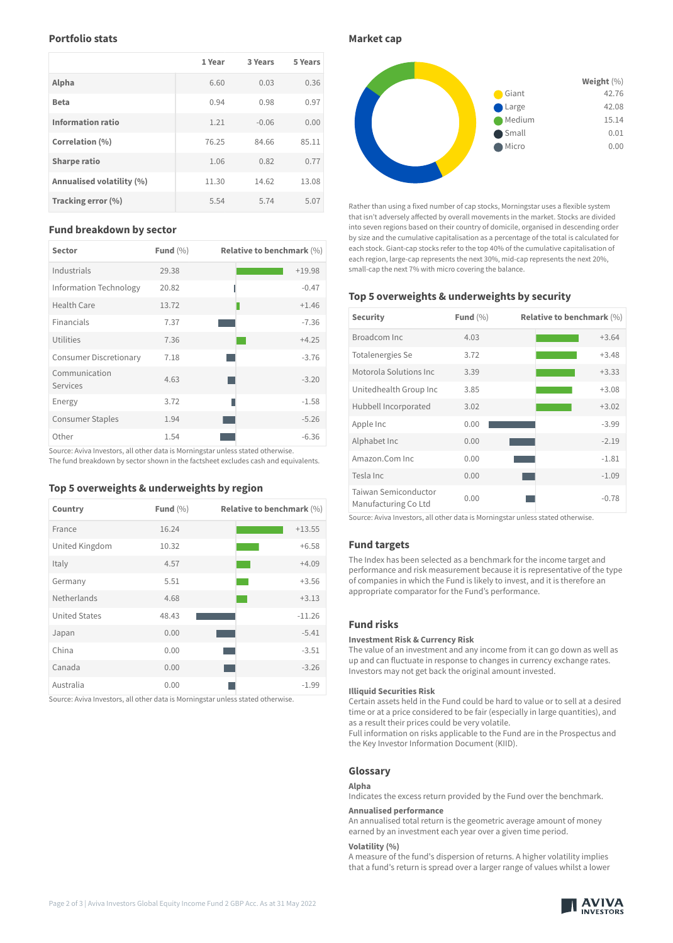|                           | 1 Year | 3 Years | 5 Years |
|---------------------------|--------|---------|---------|
| Alpha                     | 6.60   | 0.03    | 0.36    |
| <b>Beta</b>               | 0.94   | 0.98    | 0.97    |
| <b>Information ratio</b>  | 1.21   | $-0.06$ | 0.00    |
| Correlation (%)           | 76.25  | 84.66   | 85.11   |
| <b>Sharpe ratio</b>       | 1.06   | 0.82    | 0.77    |
| Annualised volatility (%) | 11.30  | 14.62   | 13.08   |
| Tracking error (%)        | 5.54   | 5.74    | 5.07    |

## **Fund breakdown by sector**

| <b>Sector</b>                 | Fund $(\% )$ | <b>Relative to benchmark (%)</b> |
|-------------------------------|--------------|----------------------------------|
| Industrials                   | 29.38        | $+19.98$                         |
| Information Technology        | 20.82        | $-0.47$                          |
| Health Care                   | 13.72        | $+1.46$                          |
| <b>Financials</b>             | 7.37         | $-7.36$                          |
| Utilities                     | 7.36         | $+4.25$                          |
| <b>Consumer Discretionary</b> | 7.18         | $-3.76$                          |
| Communication<br>Services     | 4.63         | $-3.20$                          |
| Energy                        | 3.72         | $-1.58$                          |
| <b>Consumer Staples</b>       | 1.94         | $-5.26$                          |
| Other                         | 1.54         | $-6.36$                          |

Source: Aviva Investors, all other data is Morningstar unless stated otherwise. The fund breakdown by sector shown in the factsheet excludes cash and equivalents.

## **Top 5 overweights & underweights by region**

| Country              | Fund $(\% )$ | <b>Relative to benchmark (%)</b> |
|----------------------|--------------|----------------------------------|
| France               | 16.24        | $+13.55$                         |
| United Kingdom       | 10.32        | $+6.58$                          |
| Italy                | 4.57         | $+4.09$                          |
| Germany              | 5.51         | $+3.56$                          |
| Netherlands          | 4.68         | $+3.13$                          |
| <b>United States</b> | 48.43        | $-11.26$                         |
| Japan                | 0.00         | $-5.41$                          |
| China                | 0.00         | $-3.51$                          |
| Canada               | 0.00         | $-3.26$                          |
| Australia            | 0.00         | $-1.99$                          |

Source: Aviva Investors, all other data is Morningstar unless stated otherwise.

**Market cap**



Rather than using a fixed number of cap stocks, Morningstar uses a flexible system that isn't adversely affected by overall movements in the market. Stocks are divided into seven regions based on their country of domicile, organised in descending order by size and the cumulative capitalisation as a percentage of the total is calculated for each stock. Giant-cap stocks refer to the top 40% of the cumulative capitalisation of each region, large-cap represents the next 30%, mid-cap represents the next 20%, small-cap the next 7% with micro covering the balance.

## **Top 5 overweights & underweights by security**

| Security                                     | Fund $(\% )$ | <b>Relative to benchmark (%)</b> |
|----------------------------------------------|--------------|----------------------------------|
| Broadcom Inc.                                | 4.03         | $+3.64$                          |
| Totalenergies Se                             | 3.72         | $+3.48$                          |
| Motorola Solutions Inc.                      | 3.39         | $+3.33$                          |
| Unitedhealth Group Inc                       | 3.85         | $+3.08$                          |
| Hubbell Incorporated                         | 3.02         | $+3.02$                          |
| Apple Inc                                    | 0.00         | $-3.99$                          |
| Alphabet Inc                                 | 0.00         | $-2.19$                          |
| Amazon.Com Inc.                              | 0.00         | $-1.81$                          |
| Tesla Inc                                    | 0.00         | $-1.09$                          |
| Taiwan Semiconductor<br>Manufacturing Co Ltd | 0.00         | $-0.78$                          |

Source: Aviva Investors, all other data is Morningstar unless stated otherwise.

## **Fund targets**

The Index has been selected as a benchmark for the income target and performance and risk measurement because it is representative of the type of companies in which the Fund is likely to invest, and it is therefore an appropriate comparator for the Fund's performance.

## **Fund risks**

## **Investment Risk & Currency Risk**

The value of an investment and any income from it can go down as well as up and can fluctuate in response to changes in currency exchange rates. Investors may not get back the original amount invested.

### **Illiquid Securities Risk**

Certain assets held in the Fund could be hard to value or to sell at a desired time or at a price considered to be fair (especially in large quantities), and as a result their prices could be very volatile.

Full information on risks applicable to the Fund are in the Prospectus and the Key Investor Information Document (KIID).

### **Glossary**

#### **Alpha**

Indicates the excess return provided by the Fund over the benchmark.

## **Annualised performance**

An annualised total return is the geometric average amount of money earned by an investment each year over a given time period.

## **Volatility (%)**

A measure of the fund's dispersion of returns. A higher volatility implies that a fund's return is spread over a larger range of values whilst a lower